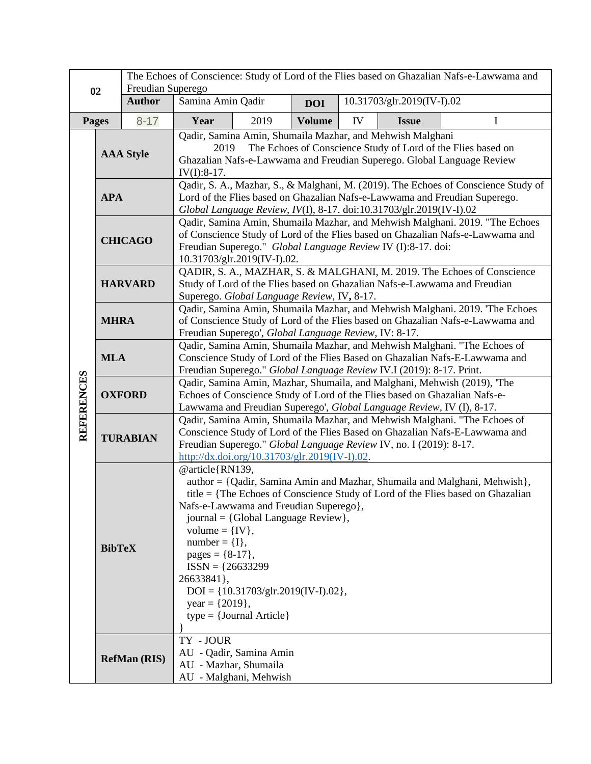|                   |                     | The Echoes of Conscience: Study of Lord of the Flies based on Ghazalian Nafs-e-Lawwama and<br>Freudian Superego |                                                                                                                                                                                                                                                                                                                                                                                                                                                                            |                                                   |               |                            |              |   |
|-------------------|---------------------|-----------------------------------------------------------------------------------------------------------------|----------------------------------------------------------------------------------------------------------------------------------------------------------------------------------------------------------------------------------------------------------------------------------------------------------------------------------------------------------------------------------------------------------------------------------------------------------------------------|---------------------------------------------------|---------------|----------------------------|--------------|---|
| 02                |                     | <b>Author</b>                                                                                                   | Samina Amin Qadir                                                                                                                                                                                                                                                                                                                                                                                                                                                          |                                                   | <b>DOI</b>    | 10.31703/glr.2019(IV-I).02 |              |   |
| <b>Pages</b>      |                     | $8 - 17$                                                                                                        | Year                                                                                                                                                                                                                                                                                                                                                                                                                                                                       | 2019                                              | <b>Volume</b> | IV                         | <b>Issue</b> | I |
|                   | <b>AAA Style</b>    |                                                                                                                 | Qadir, Samina Amin, Shumaila Mazhar, and Mehwish Malghani<br>The Echoes of Conscience Study of Lord of the Flies based on<br>2019<br>Ghazalian Nafs-e-Lawwama and Freudian Superego. Global Language Review<br>$IV(I):8-17.$                                                                                                                                                                                                                                               |                                                   |               |                            |              |   |
|                   | <b>APA</b>          |                                                                                                                 | Qadir, S. A., Mazhar, S., & Malghani, M. (2019). The Echoes of Conscience Study of<br>Lord of the Flies based on Ghazalian Nafs-e-Lawwama and Freudian Superego.<br>Global Language Review, IV(I), 8-17. doi:10.31703/glr.2019(IV-I).02                                                                                                                                                                                                                                    |                                                   |               |                            |              |   |
| <b>REFERENCES</b> | <b>CHICAGO</b>      |                                                                                                                 | Qadir, Samina Amin, Shumaila Mazhar, and Mehwish Malghani. 2019. "The Echoes<br>of Conscience Study of Lord of the Flies based on Ghazalian Nafs-e-Lawwama and<br>Freudian Superego." Global Language Review IV (I):8-17. doi:<br>10.31703/glr.2019(IV-I).02.                                                                                                                                                                                                              |                                                   |               |                            |              |   |
|                   | <b>HARVARD</b>      |                                                                                                                 | QADIR, S. A., MAZHAR, S. & MALGHANI, M. 2019. The Echoes of Conscience<br>Study of Lord of the Flies based on Ghazalian Nafs-e-Lawwama and Freudian<br>Superego. Global Language Review, IV, 8-17.                                                                                                                                                                                                                                                                         |                                                   |               |                            |              |   |
|                   | <b>MHRA</b>         |                                                                                                                 | Qadir, Samina Amin, Shumaila Mazhar, and Mehwish Malghani. 2019. 'The Echoes<br>of Conscience Study of Lord of the Flies based on Ghazalian Nafs-e-Lawwama and<br>Freudian Superego', Global Language Review, IV: 8-17.                                                                                                                                                                                                                                                    |                                                   |               |                            |              |   |
|                   | <b>MLA</b>          |                                                                                                                 | Qadir, Samina Amin, Shumaila Mazhar, and Mehwish Malghani. "The Echoes of<br>Conscience Study of Lord of the Flies Based on Ghazalian Nafs-E-Lawwama and<br>Freudian Superego." Global Language Review IV.I (2019): 8-17. Print.                                                                                                                                                                                                                                           |                                                   |               |                            |              |   |
|                   | <b>OXFORD</b>       |                                                                                                                 | Qadir, Samina Amin, Mazhar, Shumaila, and Malghani, Mehwish (2019), 'The<br>Echoes of Conscience Study of Lord of the Flies based on Ghazalian Nafs-e-<br>Lawwama and Freudian Superego', Global Language Review, IV (I), 8-17.                                                                                                                                                                                                                                            |                                                   |               |                            |              |   |
|                   | <b>TURABIAN</b>     |                                                                                                                 | Qadir, Samina Amin, Shumaila Mazhar, and Mehwish Malghani. "The Echoes of<br>Conscience Study of Lord of the Flies Based on Ghazalian Nafs-E-Lawwama and<br>Freudian Superego." Global Language Review IV, no. I (2019): 8-17.<br>http://dx.doi.org/10.31703/glr.2019(IV-I).02.                                                                                                                                                                                            |                                                   |               |                            |              |   |
|                   | <b>BibTeX</b>       |                                                                                                                 | @article{RN139,<br>author = {Qadir, Samina Amin and Mazhar, Shumaila and Malghani, Mehwish},<br>title $=$ {The Echoes of Conscience Study of Lord of the Flies based on Ghazalian<br>Nafs-e-Lawwama and Freudian Superego},<br>journal = {Global Language Review},<br>volume = $\{IV\},\$<br>number = ${I},$<br>pages = $\{8-17\}$ ,<br>$ISSN = {26633299}$<br>26633841},<br>$DOI = \{10.31703/glr.2019(IV-I).02\},\$<br>year = $\{2019\},\$<br>$type = {Journal Article}$ |                                                   |               |                            |              |   |
|                   | <b>RefMan (RIS)</b> |                                                                                                                 | TY - JOUR<br>AU - Mazhar, Shumaila                                                                                                                                                                                                                                                                                                                                                                                                                                         | AU - Qadir, Samina Amin<br>AU - Malghani, Mehwish |               |                            |              |   |